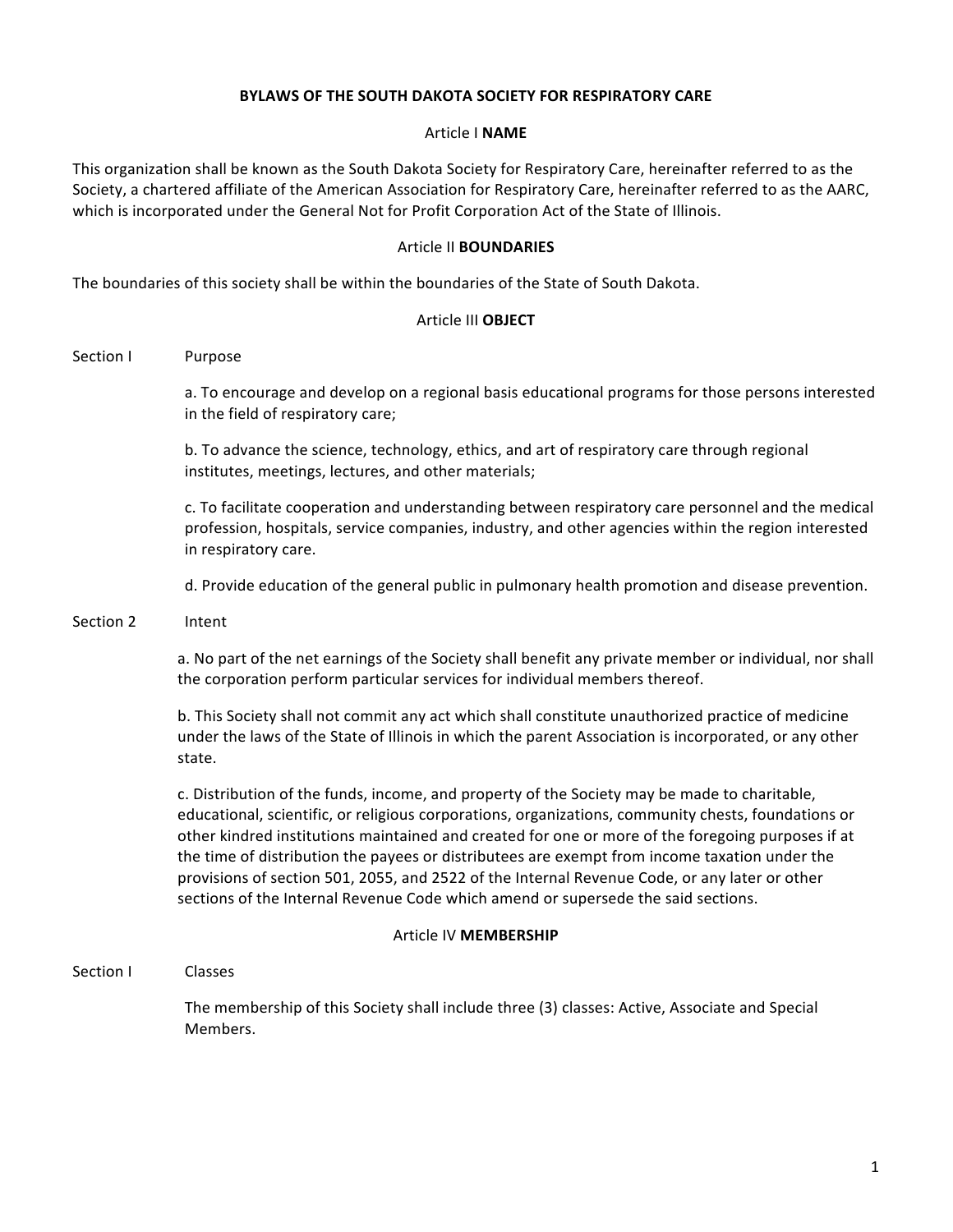## **BYLAWS OF THE SOUTH DAKOTA SOCIETY FOR RESPIRATORY CARE**

#### Article I **NAME**

This organization shall be known as the South Dakota Society for Respiratory Care, hereinafter referred to as the Society, a chartered affiliate of the American Association for Respiratory Care, hereinafter referred to as the AARC, which is incorporated under the General Not for Profit Corporation Act of the State of Illinois.

### **Article II BOUNDARIES**

The boundaries of this society shall be within the boundaries of the State of South Dakota.

#### Article III **OBJECT**

Section I Purpose

a. To encourage and develop on a regional basis educational programs for those persons interested in the field of respiratory care;

b. To advance the science, technology, ethics, and art of respiratory care through regional institutes, meetings, lectures, and other materials;

c. To facilitate cooperation and understanding between respiratory care personnel and the medical profession, hospitals, service companies, industry, and other agencies within the region interested in respiratory care.

d. Provide education of the general public in pulmonary health promotion and disease prevention.

#### Section 2 Intent

a. No part of the net earnings of the Society shall benefit any private member or individual, nor shall the corporation perform particular services for individual members thereof.

b. This Society shall not commit any act which shall constitute unauthorized practice of medicine under the laws of the State of Illinois in which the parent Association is incorporated, or any other state. 

c. Distribution of the funds, income, and property of the Society may be made to charitable, educational, scientific, or religious corporations, organizations, community chests, foundations or other kindred institutions maintained and created for one or more of the foregoing purposes if at the time of distribution the payees or distributees are exempt from income taxation under the provisions of section 501, 2055, and 2522 of the Internal Revenue Code, or any later or other sections of the Internal Revenue Code which amend or supersede the said sections.

#### Article IV **MEMBERSHIP**

Section I Classes

The membership of this Society shall include three (3) classes: Active, Associate and Special Members.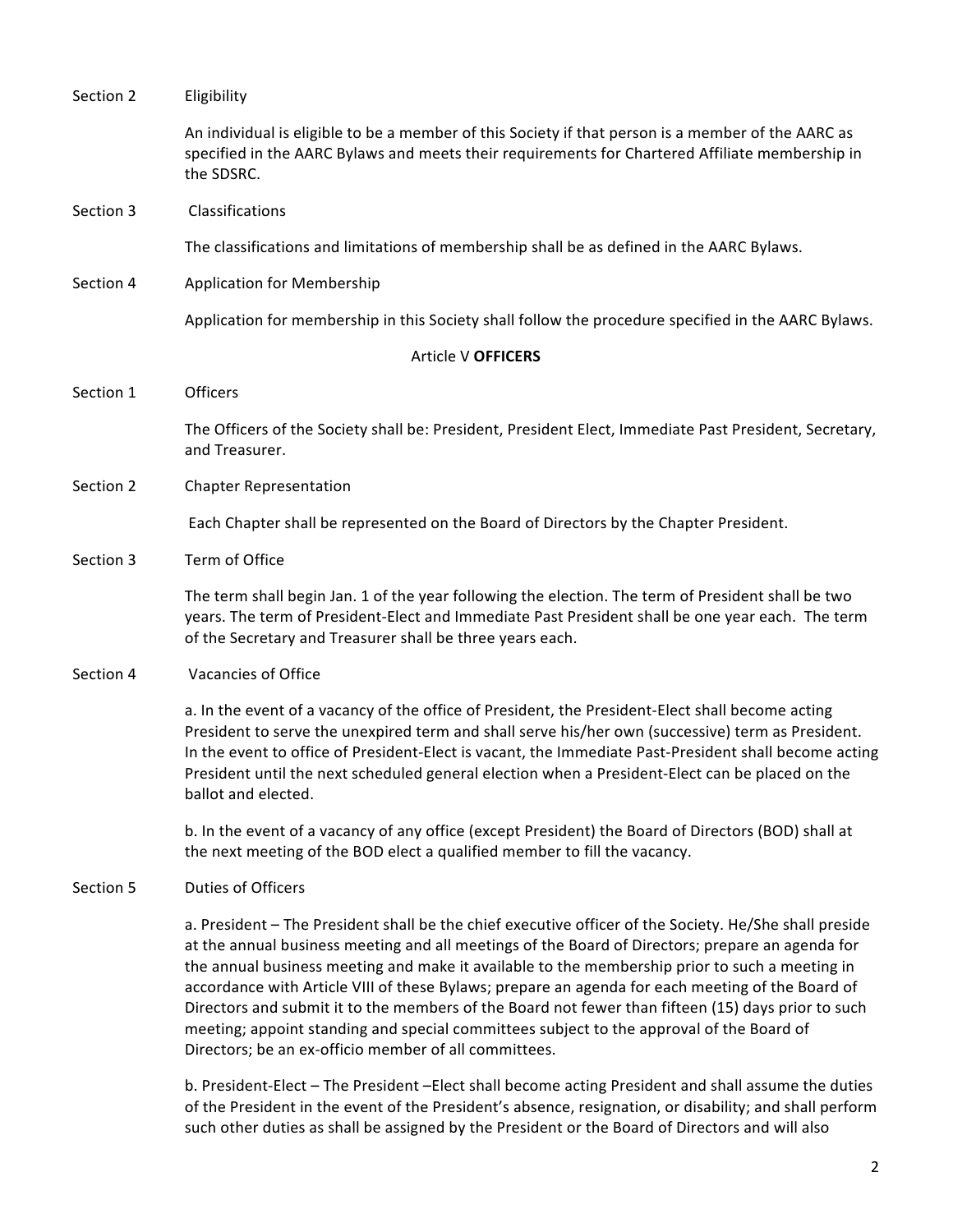| Section 2          | Eligibility                                                                                                                                                                                                                                                                                                                                                                                                                                                                                                                                                                                                                                                                 |  |  |
|--------------------|-----------------------------------------------------------------------------------------------------------------------------------------------------------------------------------------------------------------------------------------------------------------------------------------------------------------------------------------------------------------------------------------------------------------------------------------------------------------------------------------------------------------------------------------------------------------------------------------------------------------------------------------------------------------------------|--|--|
|                    | An individual is eligible to be a member of this Society if that person is a member of the AARC as<br>specified in the AARC Bylaws and meets their requirements for Chartered Affiliate membership in<br>the SDSRC.                                                                                                                                                                                                                                                                                                                                                                                                                                                         |  |  |
| Section 3          | Classifications                                                                                                                                                                                                                                                                                                                                                                                                                                                                                                                                                                                                                                                             |  |  |
|                    | The classifications and limitations of membership shall be as defined in the AARC Bylaws.                                                                                                                                                                                                                                                                                                                                                                                                                                                                                                                                                                                   |  |  |
| Section 4          | <b>Application for Membership</b>                                                                                                                                                                                                                                                                                                                                                                                                                                                                                                                                                                                                                                           |  |  |
|                    | Application for membership in this Society shall follow the procedure specified in the AARC Bylaws.                                                                                                                                                                                                                                                                                                                                                                                                                                                                                                                                                                         |  |  |
| Article V OFFICERS |                                                                                                                                                                                                                                                                                                                                                                                                                                                                                                                                                                                                                                                                             |  |  |
| Section 1          | Officers                                                                                                                                                                                                                                                                                                                                                                                                                                                                                                                                                                                                                                                                    |  |  |
|                    | The Officers of the Society shall be: President, President Elect, Immediate Past President, Secretary,<br>and Treasurer.                                                                                                                                                                                                                                                                                                                                                                                                                                                                                                                                                    |  |  |
| Section 2          | <b>Chapter Representation</b>                                                                                                                                                                                                                                                                                                                                                                                                                                                                                                                                                                                                                                               |  |  |
|                    | Each Chapter shall be represented on the Board of Directors by the Chapter President.                                                                                                                                                                                                                                                                                                                                                                                                                                                                                                                                                                                       |  |  |
| Section 3          | Term of Office                                                                                                                                                                                                                                                                                                                                                                                                                                                                                                                                                                                                                                                              |  |  |
|                    | The term shall begin Jan. 1 of the year following the election. The term of President shall be two<br>years. The term of President-Elect and Immediate Past President shall be one year each. The term<br>of the Secretary and Treasurer shall be three years each.                                                                                                                                                                                                                                                                                                                                                                                                         |  |  |
| Section 4          | Vacancies of Office                                                                                                                                                                                                                                                                                                                                                                                                                                                                                                                                                                                                                                                         |  |  |
|                    | a. In the event of a vacancy of the office of President, the President-Elect shall become acting<br>President to serve the unexpired term and shall serve his/her own (successive) term as President.<br>In the event to office of President-Elect is vacant, the Immediate Past-President shall become acting<br>President until the next scheduled general election when a President-Elect can be placed on the<br>ballot and elected.                                                                                                                                                                                                                                    |  |  |
|                    | b. In the event of a vacancy of any office (except President) the Board of Directors (BOD) shall at<br>the next meeting of the BOD elect a qualified member to fill the vacancy.                                                                                                                                                                                                                                                                                                                                                                                                                                                                                            |  |  |
| Section 5          | <b>Duties of Officers</b>                                                                                                                                                                                                                                                                                                                                                                                                                                                                                                                                                                                                                                                   |  |  |
|                    | a. President - The President shall be the chief executive officer of the Society. He/She shall preside<br>at the annual business meeting and all meetings of the Board of Directors; prepare an agenda for<br>the annual business meeting and make it available to the membership prior to such a meeting in<br>accordance with Article VIII of these Bylaws; prepare an agenda for each meeting of the Board of<br>Directors and submit it to the members of the Board not fewer than fifteen (15) days prior to such<br>meeting; appoint standing and special committees subject to the approval of the Board of<br>Directors; be an ex-officio member of all committees. |  |  |
|                    | b. President-Elect - The President -Elect shall become acting President and shall assume the duties<br>of the President in the event of the President's absence, resignation, or disability; and shall perform                                                                                                                                                                                                                                                                                                                                                                                                                                                              |  |  |

such other duties as shall be assigned by the President or the Board of Directors and will also

2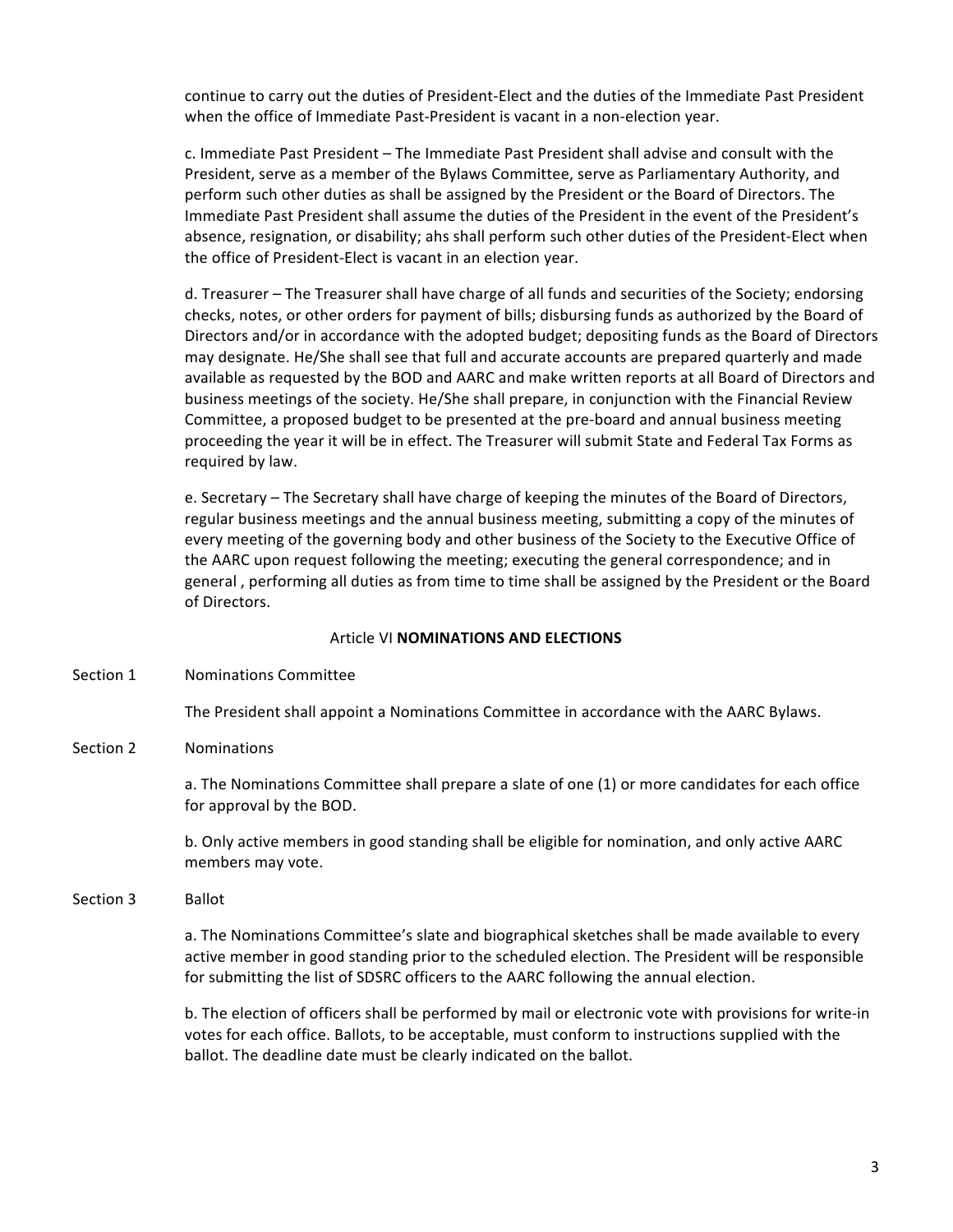continue to carry out the duties of President-Elect and the duties of the Immediate Past President when the office of Immediate Past-President is vacant in a non-election year.

c. Immediate Past President - The Immediate Past President shall advise and consult with the President, serve as a member of the Bylaws Committee, serve as Parliamentary Authority, and perform such other duties as shall be assigned by the President or the Board of Directors. The Immediate Past President shall assume the duties of the President in the event of the President's absence, resignation, or disability; ahs shall perform such other duties of the President-Elect when the office of President-Elect is vacant in an election year.

d. Treasurer – The Treasurer shall have charge of all funds and securities of the Society; endorsing checks, notes, or other orders for payment of bills; disbursing funds as authorized by the Board of Directors and/or in accordance with the adopted budget; depositing funds as the Board of Directors may designate. He/She shall see that full and accurate accounts are prepared quarterly and made available as requested by the BOD and AARC and make written reports at all Board of Directors and business meetings of the society. He/She shall prepare, in conjunction with the Financial Review Committee, a proposed budget to be presented at the pre-board and annual business meeting proceeding the year it will be in effect. The Treasurer will submit State and Federal Tax Forms as required by law.

e. Secretary – The Secretary shall have charge of keeping the minutes of the Board of Directors, regular business meetings and the annual business meeting, submitting a copy of the minutes of every meeting of the governing body and other business of the Society to the Executive Office of the AARC upon request following the meeting; executing the general correspondence; and in general, performing all duties as from time to time shall be assigned by the President or the Board of Directors.

### **Article VI NOMINATIONS AND ELECTIONS**

Section 1 Nominations Committee

The President shall appoint a Nominations Committee in accordance with the AARC Bylaws.

Section 2 Nominations

a. The Nominations Committee shall prepare a slate of one (1) or more candidates for each office for approval by the BOD.

b. Only active members in good standing shall be eligible for nomination, and only active AARC members may vote.

Section 3 Ballot

a. The Nominations Committee's slate and biographical sketches shall be made available to every active member in good standing prior to the scheduled election. The President will be responsible for submitting the list of SDSRC officers to the AARC following the annual election.

b. The election of officers shall be performed by mail or electronic vote with provisions for write-in votes for each office. Ballots, to be acceptable, must conform to instructions supplied with the ballot. The deadline date must be clearly indicated on the ballot.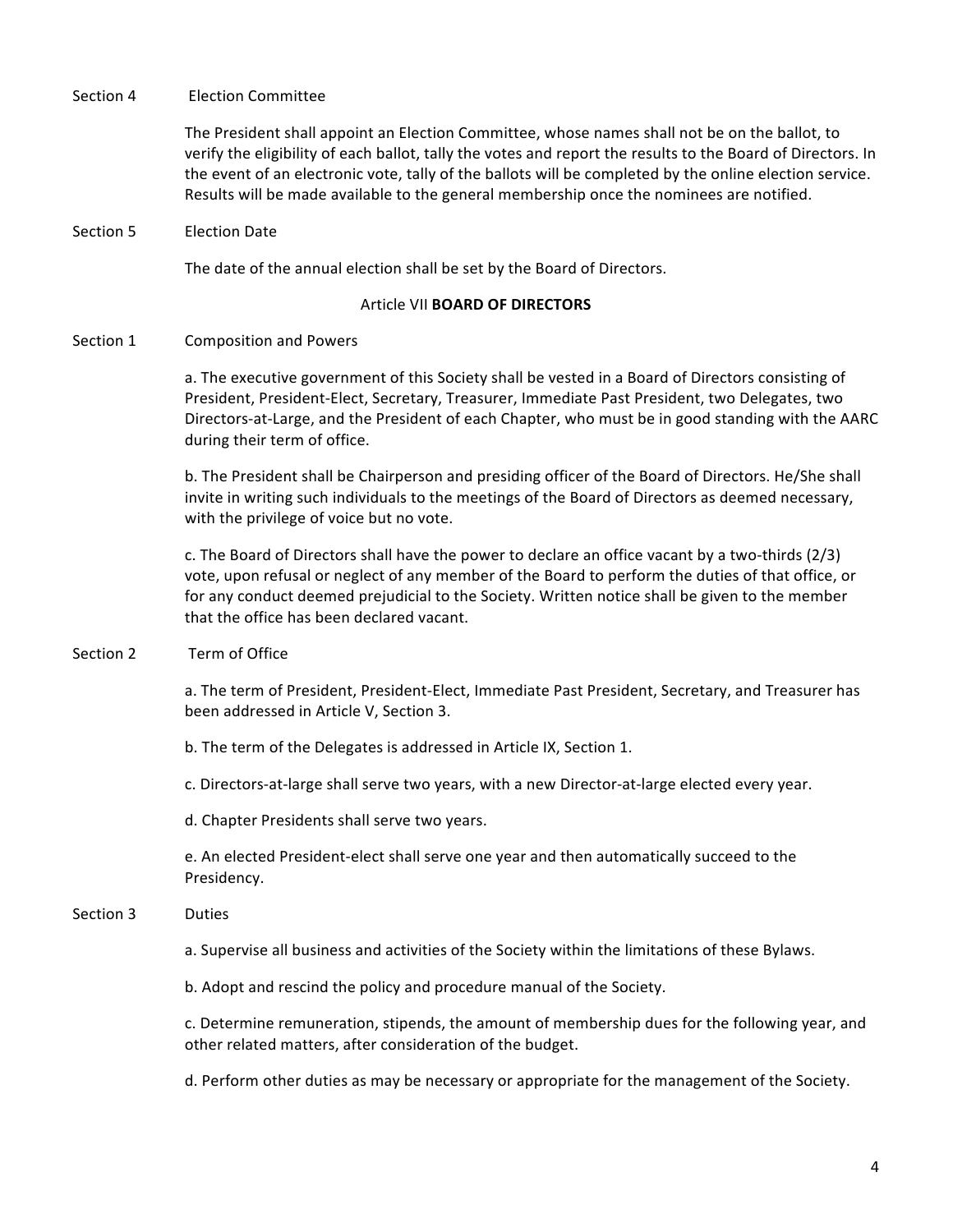### Section 4 Election Committee

The President shall appoint an Election Committee, whose names shall not be on the ballot, to verify the eligibility of each ballot, tally the votes and report the results to the Board of Directors. In the event of an electronic vote, tally of the ballots will be completed by the online election service. Results will be made available to the general membership once the nominees are notified.

Section 5 Election Date

The date of the annual election shall be set by the Board of Directors.

## **Article VII BOARD OF DIRECTORS**

Section 1 Composition and Powers

a. The executive government of this Society shall be vested in a Board of Directors consisting of President, President-Elect, Secretary, Treasurer, Immediate Past President, two Delegates, two Directors-at-Large, and the President of each Chapter, who must be in good standing with the AARC during their term of office.

b. The President shall be Chairperson and presiding officer of the Board of Directors. He/She shall invite in writing such individuals to the meetings of the Board of Directors as deemed necessary, with the privilege of voice but no vote.

c. The Board of Directors shall have the power to declare an office vacant by a two-thirds  $(2/3)$ vote, upon refusal or neglect of any member of the Board to perform the duties of that office, or for any conduct deemed prejudicial to the Society. Written notice shall be given to the member that the office has been declared vacant.

Section 2 Term of Office

a. The term of President, President-Elect, Immediate Past President, Secretary, and Treasurer has been addressed in Article V, Section 3.

b. The term of the Delegates is addressed in Article IX, Section 1.

c. Directors-at-large shall serve two years, with a new Director-at-large elected every year.

d. Chapter Presidents shall serve two years.

e. An elected President-elect shall serve one year and then automatically succeed to the Presidency. 

## Section 3 Duties

a. Supervise all business and activities of the Society within the limitations of these Bylaws.

b. Adopt and rescind the policy and procedure manual of the Society.

c. Determine remuneration, stipends, the amount of membership dues for the following year, and other related matters, after consideration of the budget.

d. Perform other duties as may be necessary or appropriate for the management of the Society.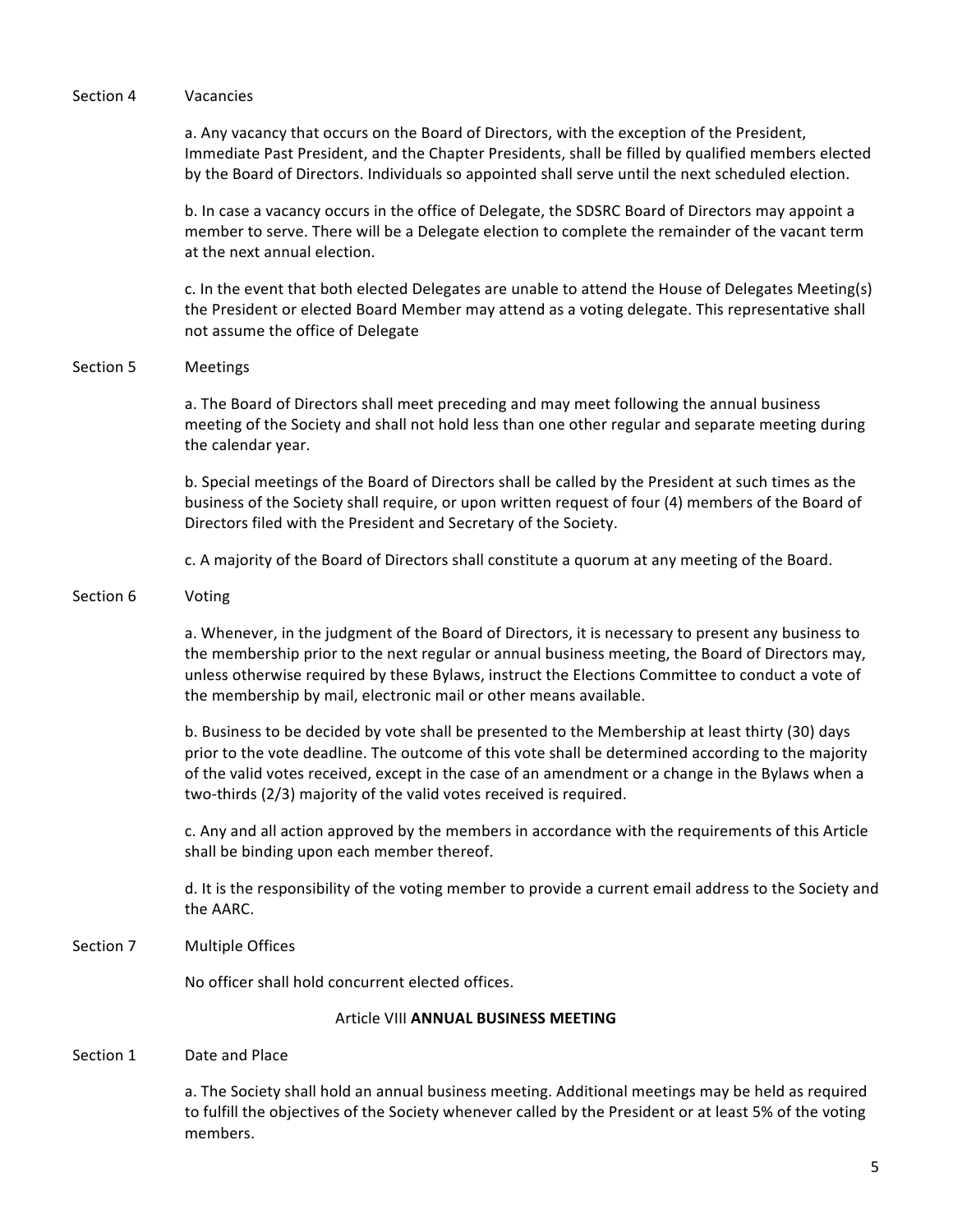#### Section 4 Vacancies

a. Any vacancy that occurs on the Board of Directors, with the exception of the President, Immediate Past President, and the Chapter Presidents, shall be filled by qualified members elected by the Board of Directors. Individuals so appointed shall serve until the next scheduled election.

b. In case a vacancy occurs in the office of Delegate, the SDSRC Board of Directors may appoint a member to serve. There will be a Delegate election to complete the remainder of the vacant term at the next annual election.

c. In the event that both elected Delegates are unable to attend the House of Delegates Meeting(s) the President or elected Board Member may attend as a voting delegate. This representative shall not assume the office of Delegate

### Section 5 Meetings

a. The Board of Directors shall meet preceding and may meet following the annual business meeting of the Society and shall not hold less than one other regular and separate meeting during the calendar year.

b. Special meetings of the Board of Directors shall be called by the President at such times as the business of the Society shall require, or upon written request of four (4) members of the Board of Directors filed with the President and Secretary of the Society.

c. A majority of the Board of Directors shall constitute a quorum at any meeting of the Board.

## Section 6 Voting

a. Whenever, in the judgment of the Board of Directors, it is necessary to present any business to the membership prior to the next regular or annual business meeting, the Board of Directors may, unless otherwise required by these Bylaws, instruct the Elections Committee to conduct a vote of the membership by mail, electronic mail or other means available.

b. Business to be decided by vote shall be presented to the Membership at least thirty (30) days prior to the vote deadline. The outcome of this vote shall be determined according to the majority of the valid votes received, except in the case of an amendment or a change in the Bylaws when a two-thirds (2/3) majority of the valid votes received is required.

c. Any and all action approved by the members in accordance with the requirements of this Article shall be binding upon each member thereof.

d. It is the responsibility of the voting member to provide a current email address to the Society and the AARC.

### Section 7 Multiple Offices

No officer shall hold concurrent elected offices.

### **Article VIII ANNUAL BUSINESS MEETING**

### Section 1 Date and Place

a. The Society shall hold an annual business meeting. Additional meetings may be held as required to fulfill the objectives of the Society whenever called by the President or at least 5% of the voting members.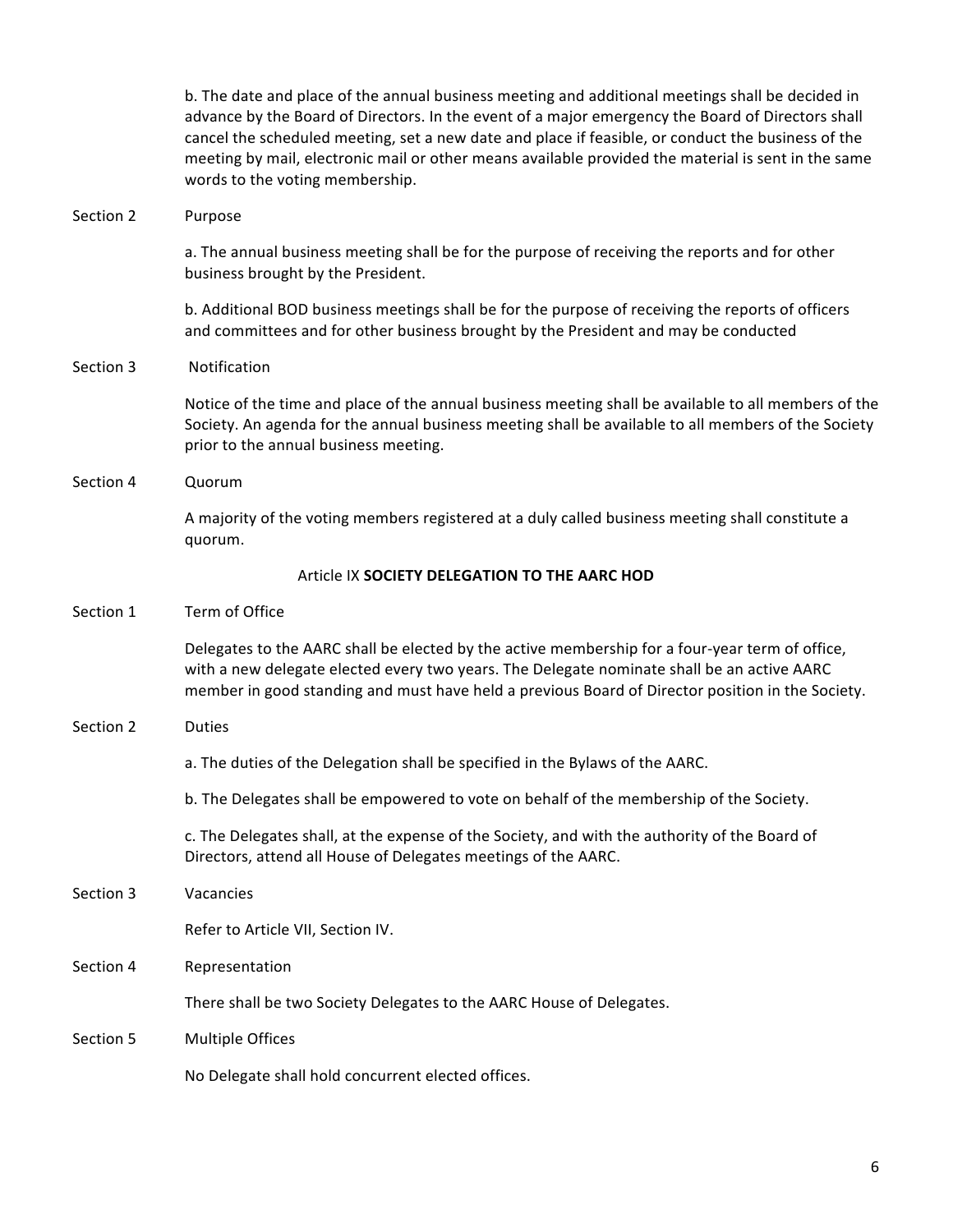b. The date and place of the annual business meeting and additional meetings shall be decided in advance by the Board of Directors. In the event of a major emergency the Board of Directors shall cancel the scheduled meeting, set a new date and place if feasible, or conduct the business of the meeting by mail, electronic mail or other means available provided the material is sent in the same words to the voting membership.

### Section 2 Purpose

a. The annual business meeting shall be for the purpose of receiving the reports and for other business brought by the President.

b. Additional BOD business meetings shall be for the purpose of receiving the reports of officers and committees and for other business brought by the President and may be conducted

## Section 3 Notification

Notice of the time and place of the annual business meeting shall be available to all members of the Society. An agenda for the annual business meeting shall be available to all members of the Society prior to the annual business meeting.

## Section 4 Quorum

A majority of the voting members registered at a duly called business meeting shall constitute a quorum. 

## **Article IX SOCIETY DELEGATION TO THE AARC HOD**

### Section 1 Term of Office

Delegates to the AARC shall be elected by the active membership for a four-year term of office, with a new delegate elected every two years. The Delegate nominate shall be an active AARC member in good standing and must have held a previous Board of Director position in the Society.

## Section 2 Duties

a. The duties of the Delegation shall be specified in the Bylaws of the AARC.

b. The Delegates shall be empowered to vote on behalf of the membership of the Society.

c. The Delegates shall, at the expense of the Society, and with the authority of the Board of Directors, attend all House of Delegates meetings of the AARC.

## Section 3 Vacancies

Refer to Article VII, Section IV.

## Section 4 Representation

There shall be two Society Delegates to the AARC House of Delegates.

## Section 5 Multiple Offices

No Delegate shall hold concurrent elected offices.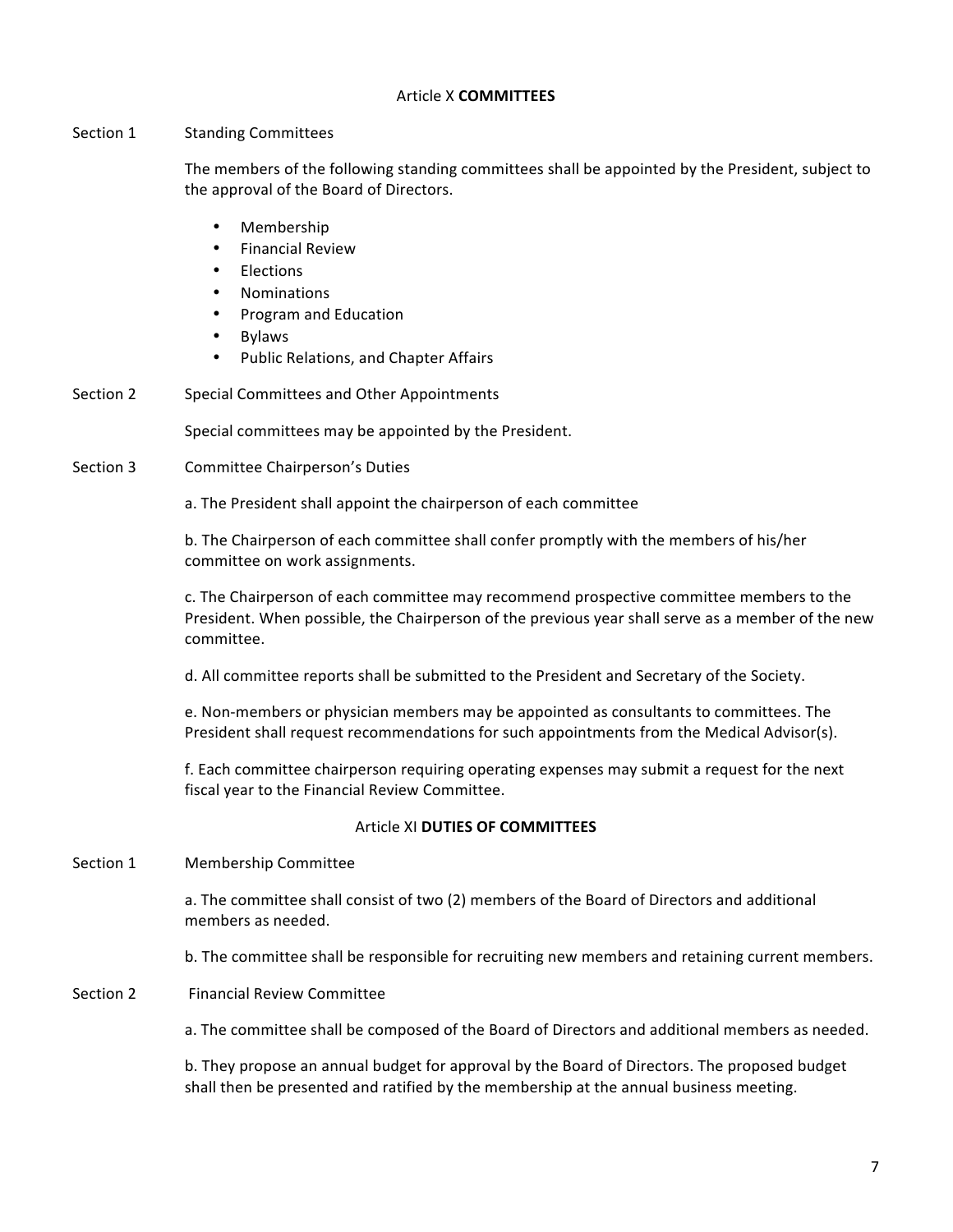### Article X **COMMITTEES**

## Section 1 Standing Committees

The members of the following standing committees shall be appointed by the President, subject to the approval of the Board of Directors.

- Membership
- **Financial Review**
- **Flections**
- Nominations
- Program and Education
- Bylaws
- Public Relations, and Chapter Affairs
- Section 2 Special Committees and Other Appointments

Special committees may be appointed by the President.

Section 3 Committee Chairperson's Duties

a. The President shall appoint the chairperson of each committee

b. The Chairperson of each committee shall confer promptly with the members of his/her committee on work assignments.

c. The Chairperson of each committee may recommend prospective committee members to the President. When possible, the Chairperson of the previous year shall serve as a member of the new committee. 

d. All committee reports shall be submitted to the President and Secretary of the Society.

e. Non-members or physician members may be appointed as consultants to committees. The President shall request recommendations for such appointments from the Medical Advisor(s).

f. Each committee chairperson requiring operating expenses may submit a request for the next fiscal year to the Financial Review Committee.

## Article XI **DUTIES OF COMMITTEES**

Section 1 Membership Committee

a. The committee shall consist of two (2) members of the Board of Directors and additional members as needed.

b. The committee shall be responsible for recruiting new members and retaining current members.

Section 2 Financial Review Committee

a. The committee shall be composed of the Board of Directors and additional members as needed.

b. They propose an annual budget for approval by the Board of Directors. The proposed budget shall then be presented and ratified by the membership at the annual business meeting.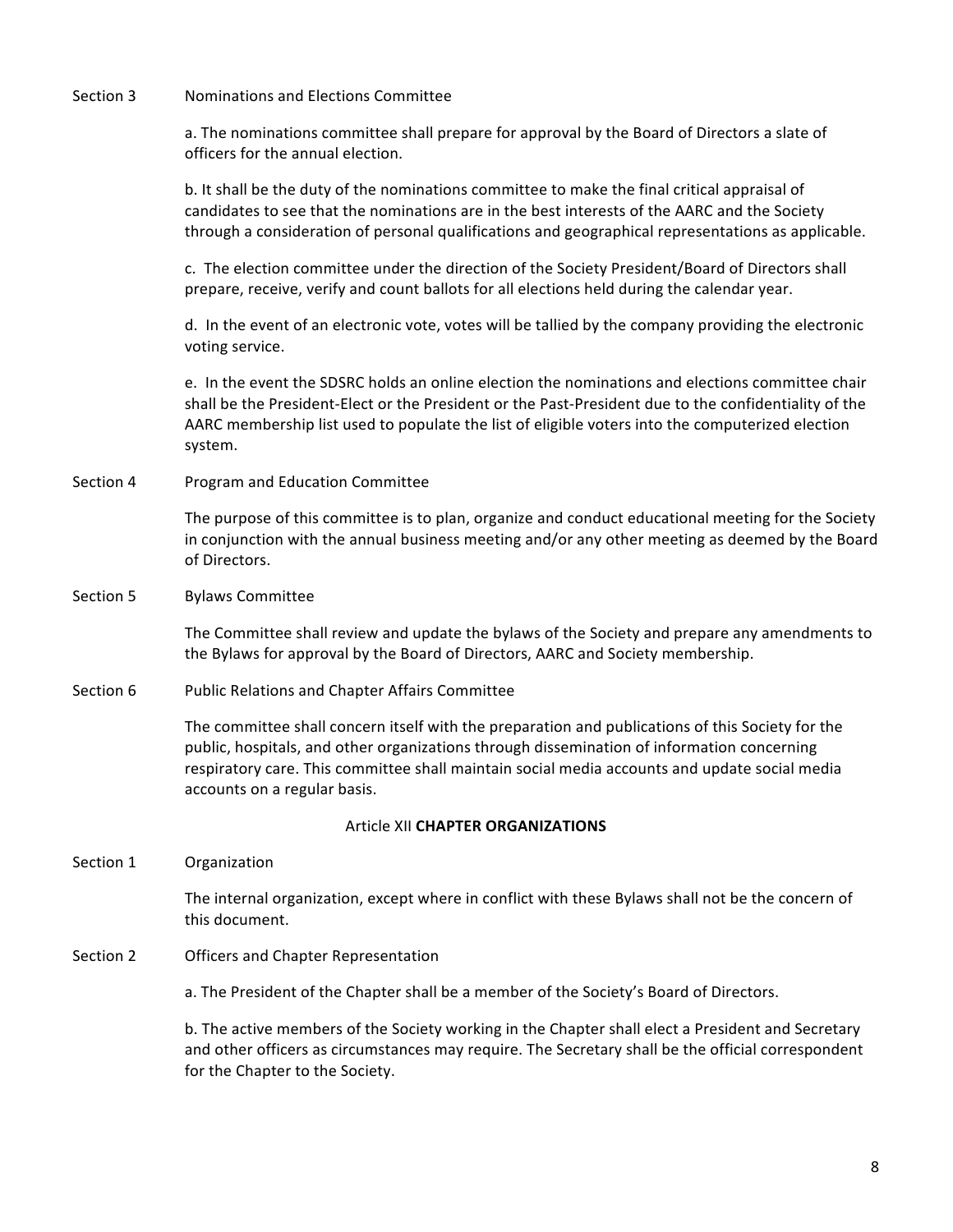Section 3 Mominations and Elections Committee

a. The nominations committee shall prepare for approval by the Board of Directors a slate of officers for the annual election.

b. It shall be the duty of the nominations committee to make the final critical appraisal of candidates to see that the nominations are in the best interests of the AARC and the Society through a consideration of personal qualifications and geographical representations as applicable.

c. The election committee under the direction of the Society President/Board of Directors shall prepare, receive, verify and count ballots for all elections held during the calendar year.

d. In the event of an electronic vote, votes will be tallied by the company providing the electronic voting service.

e. In the event the SDSRC holds an online election the nominations and elections committee chair shall be the President-Elect or the President or the Past-President due to the confidentiality of the AARC membership list used to populate the list of eligible voters into the computerized election system. 

Section 4 Program and Education Committee

The purpose of this committee is to plan, organize and conduct educational meeting for the Society in conjunction with the annual business meeting and/or any other meeting as deemed by the Board of Directors.

Section 5 Bylaws Committee

The Committee shall review and update the bylaws of the Society and prepare any amendments to the Bylaws for approval by the Board of Directors, AARC and Society membership.

Section 6 Public Relations and Chapter Affairs Committee

The committee shall concern itself with the preparation and publications of this Society for the public, hospitals, and other organizations through dissemination of information concerning respiratory care. This committee shall maintain social media accounts and update social media accounts on a regular basis.

## **Article XII CHAPTER ORGANIZATIONS**

Section 1 Organization

The internal organization, except where in conflict with these Bylaws shall not be the concern of this document.

Section 2 **Officers** and Chapter Representation

a. The President of the Chapter shall be a member of the Society's Board of Directors.

b. The active members of the Society working in the Chapter shall elect a President and Secretary and other officers as circumstances may require. The Secretary shall be the official correspondent for the Chapter to the Society.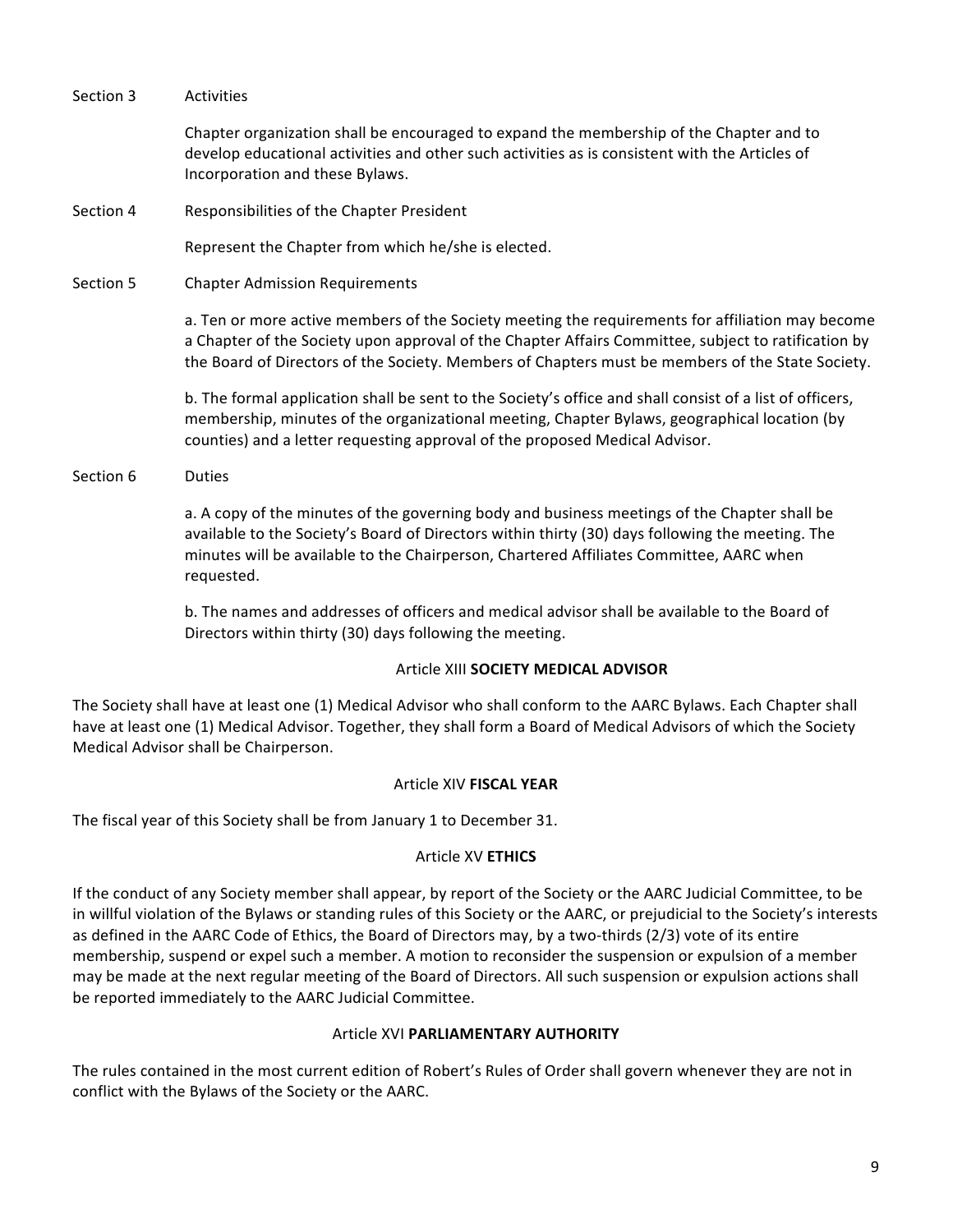Section 3 Activities Chapter organization shall be encouraged to expand the membership of the Chapter and to develop educational activities and other such activities as is consistent with the Articles of Incorporation and these Bylaws. Section 4 Responsibilities of the Chapter President Represent the Chapter from which he/she is elected. Section 5 Chapter Admission Requirements a. Ten or more active members of the Society meeting the requirements for affiliation may become a Chapter of the Society upon approval of the Chapter Affairs Committee, subject to ratification by the Board of Directors of the Society. Members of Chapters must be members of the State Society. b. The formal application shall be sent to the Society's office and shall consist of a list of officers, membership, minutes of the organizational meeting, Chapter Bylaws, geographical location (by counties) and a letter requesting approval of the proposed Medical Advisor. Section 6 Duties a. A copy of the minutes of the governing body and business meetings of the Chapter shall be available to the Society's Board of Directors within thirty (30) days following the meeting. The minutes will be available to the Chairperson, Chartered Affiliates Committee, AARC when

> b. The names and addresses of officers and medical advisor shall be available to the Board of Directors within thirty (30) days following the meeting.

## **Article XIII SOCIETY MEDICAL ADVISOR**

The Society shall have at least one (1) Medical Advisor who shall conform to the AARC Bylaws. Each Chapter shall have at least one (1) Medical Advisor. Together, they shall form a Board of Medical Advisors of which the Society Medical Advisor shall be Chairperson.

## Article XIV **FISCAL YEAR**

The fiscal year of this Society shall be from January 1 to December 31.

requested. 

# Article XV **ETHICS**

If the conduct of any Society member shall appear, by report of the Society or the AARC Judicial Committee, to be in willful violation of the Bylaws or standing rules of this Society or the AARC, or prejudicial to the Society's interests as defined in the AARC Code of Ethics, the Board of Directors may, by a two-thirds (2/3) vote of its entire membership, suspend or expel such a member. A motion to reconsider the suspension or expulsion of a member may be made at the next regular meeting of the Board of Directors. All such suspension or expulsion actions shall be reported immediately to the AARC Judicial Committee.

# **Article XVI PARLIAMENTARY AUTHORITY**

The rules contained in the most current edition of Robert's Rules of Order shall govern whenever they are not in conflict with the Bylaws of the Society or the AARC.